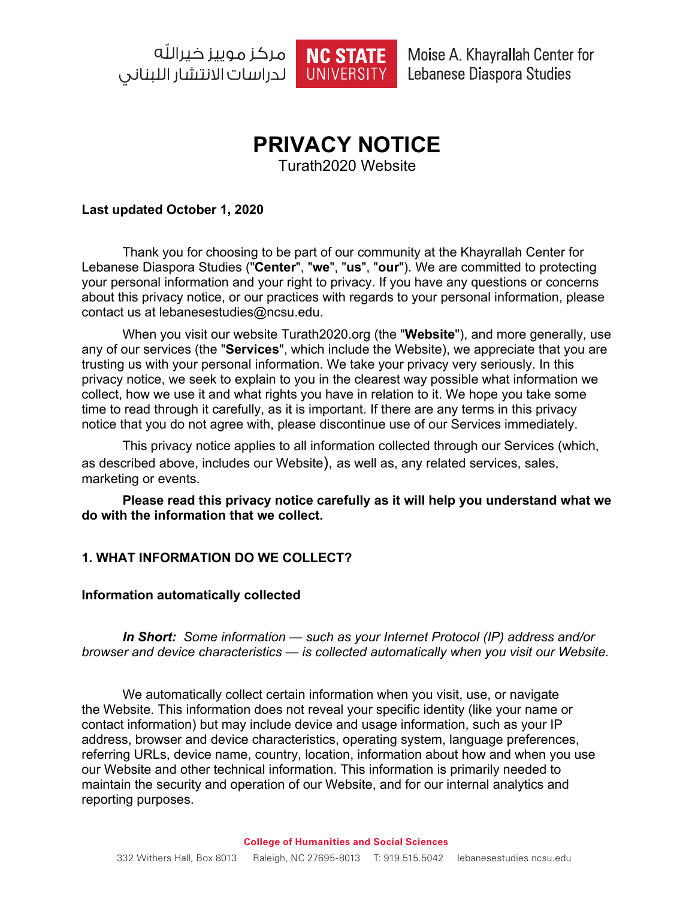NC STATE **لدراسات الانتشار اللىنانى ال** 



Moise A. Khayrallah Center for Lebanese Diaspora Studies

# **PRIVACY NOTICE**

Turath2020 Website

#### **Last updated October 1, 2020**

Thank you for choosing to be part of our community at the Khayrallah Center for Lebanese Diaspora Studies ("**Center**", "**we**", "**us**", "**our**"). We are committed to protecting your personal information and your right to privacy. If you have any questions or concerns about this privacy notice, or our practices with regards to your personal information, please contact us at lebanesestudies@ncsu.edu.

When you visit our website Turath2020.org (the "**Website**"), and more generally, use any of our services (the "**Services**", which include the Website), we appreciate that you are trusting us with your personal information. We take your privacy very seriously. In this privacy notice, we seek to explain to you in the clearest way possible what information we collect, how we use it and what rights you have in relation to it. We hope you take some time to read through it carefully, as it is important. If there are any terms in this privacy notice that you do not agree with, please discontinue use of our Services immediately.

This privacy notice applies to all information collected through our Services (which, as described above, includes our Website), as well as, any related services, sales, marketing or events.

**Please read this privacy notice carefully as it will help you understand what we do with the information that we collect.**

## **1. WHAT INFORMATION DO WE COLLECT?**

#### **Information automatically collected**

*In Short: Some information — such as your Internet Protocol (IP) address and/or browser and device characteristics — is collected automatically when you visit our Website.*

We automatically collect certain information when you visit, use, or navigate the Website. This information does not reveal your specific identity (like your name or contact information) but may include device and usage information, such as your IP address, browser and device characteristics, operating system, language preferences, referring URLs, device name, country, location, information about how and when you use our Website and other technical information. This information is primarily needed to maintain the security and operation of our Website, and for our internal analytics and reporting purposes.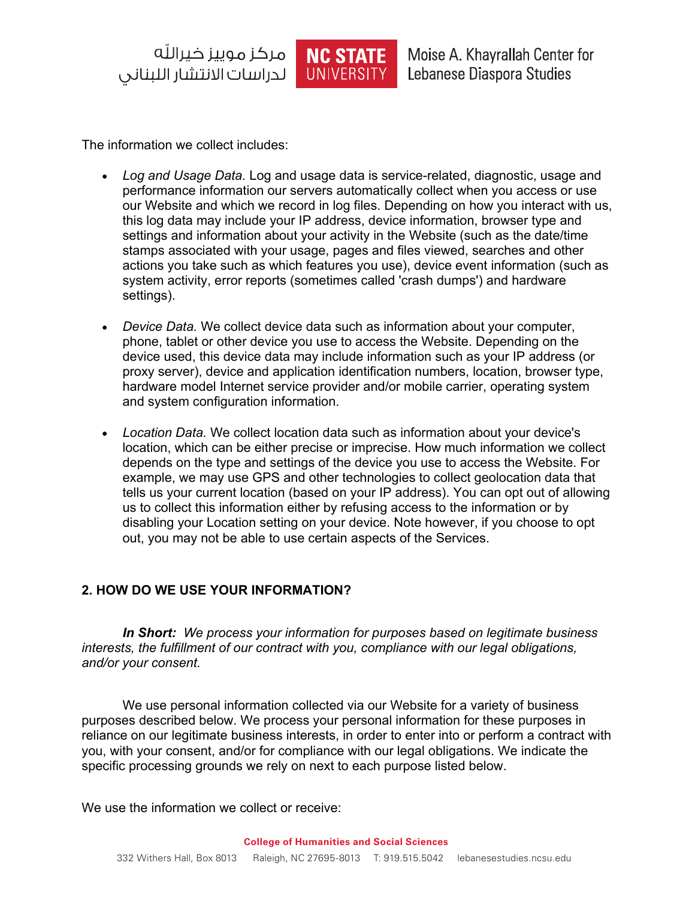| لدراسات الانتشار الليناني



Moise A. Khayrallah Center for Lebanese Diaspora Studies

The information we collect includes:

- *Log and Usage Data.* Log and usage data is service-related, diagnostic, usage and performance information our servers automatically collect when you access or use our Website and which we record in log files. Depending on how you interact with us, this log data may include your IP address, device information, browser type and settings and information about your activity in the Website (such as the date/time stamps associated with your usage, pages and files viewed, searches and other actions you take such as which features you use), device event information (such as system activity, error reports (sometimes called 'crash dumps') and hardware settings).
- *Device Data.* We collect device data such as information about your computer, phone, tablet or other device you use to access the Website. Depending on the device used, this device data may include information such as your IP address (or proxy server), device and application identification numbers, location, browser type, hardware model Internet service provider and/or mobile carrier, operating system and system configuration information.
- *Location Data.* We collect location data such as information about your device's location, which can be either precise or imprecise. How much information we collect depends on the type and settings of the device you use to access the Website. For example, we may use GPS and other technologies to collect geolocation data that tells us your current location (based on your IP address). You can opt out of allowing us to collect this information either by refusing access to the information or by disabling your Location setting on your device. Note however, if you choose to opt out, you may not be able to use certain aspects of the Services.

## **2. HOW DO WE USE YOUR INFORMATION?**

*In Short: We process your information for purposes based on legitimate business interests, the fulfillment of our contract with you, compliance with our legal obligations, and/or your consent.*

We use personal information collected via our Website for a variety of business purposes described below. We process your personal information for these purposes in reliance on our legitimate business interests, in order to enter into or perform a contract with you, with your consent, and/or for compliance with our legal obligations. We indicate the specific processing grounds we rely on next to each purpose listed below.

We use the information we collect or receive: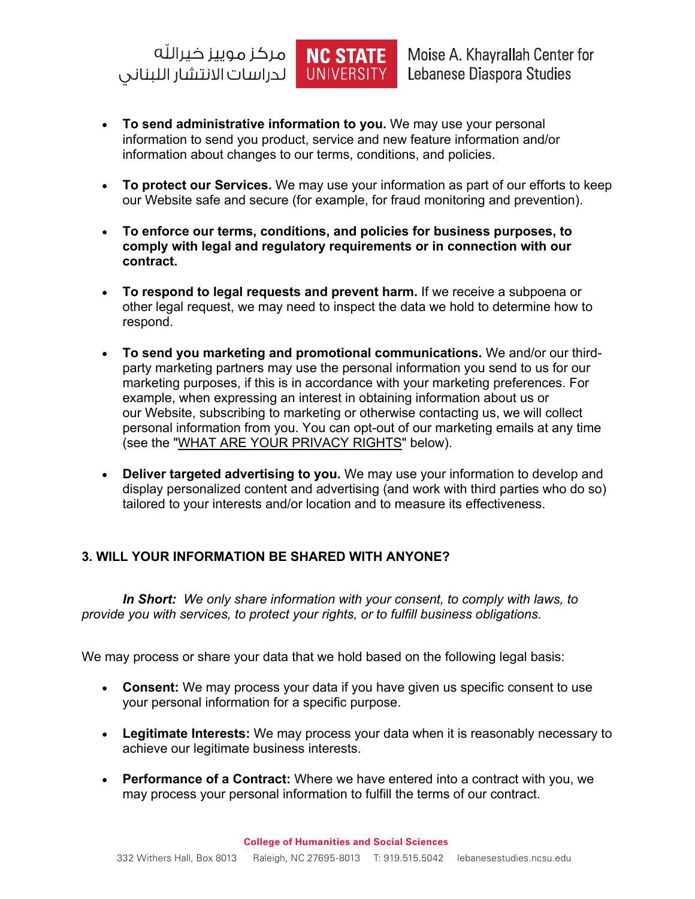NC STATE لدراسات الانتشار الليناني

Moise A. Khayrallah Center for Lebanese Diaspora Studies

• **To send administrative information to you.** We may use your personal information to send you product, service and new feature information and/or information about changes to our terms, conditions, and policies.

UNIVERSITY

- **To protect our Services.** We may use your information as part of our efforts to keep our Website safe and secure (for example, for fraud monitoring and prevention).
- **To enforce our terms, conditions, and policies for business purposes, to comply with legal and regulatory requirements or in connection with our contract.**
- **To respond to legal requests and prevent harm.** If we receive a subpoena or other legal request, we may need to inspect the data we hold to determine how to respond.
- **To send you marketing and promotional communications.** We and/or our thirdparty marketing partners may use the personal information you send to us for our marketing purposes, if this is in accordance with your marketing preferences. For example, when expressing an interest in obtaining information about us or our Website, subscribing to marketing or otherwise contacting us, we will collect personal information from you. You can opt-out of our marketing emails at any time (see the "WHAT ARE YOUR PRIVACY RIGHTS" below).
- **Deliver targeted advertising to you.** We may use your information to develop and display personalized content and advertising (and work with third parties who do so) tailored to your interests and/or location and to measure its effectiveness.

## **3. WILL YOUR INFORMATION BE SHARED WITH ANYONE?**

*In Short: We only share information with your consent, to comply with laws, to provide you with services, to protect your rights, or to fulfill business obligations.*

We may process or share your data that we hold based on the following legal basis:

- **Consent:** We may process your data if you have given us specific consent to use your personal information for a specific purpose.
- **Legitimate Interests:** We may process your data when it is reasonably necessary to achieve our legitimate business interests.
- **Performance of a Contract:** Where we have entered into a contract with you, we may process your personal information to fulfill the terms of our contract.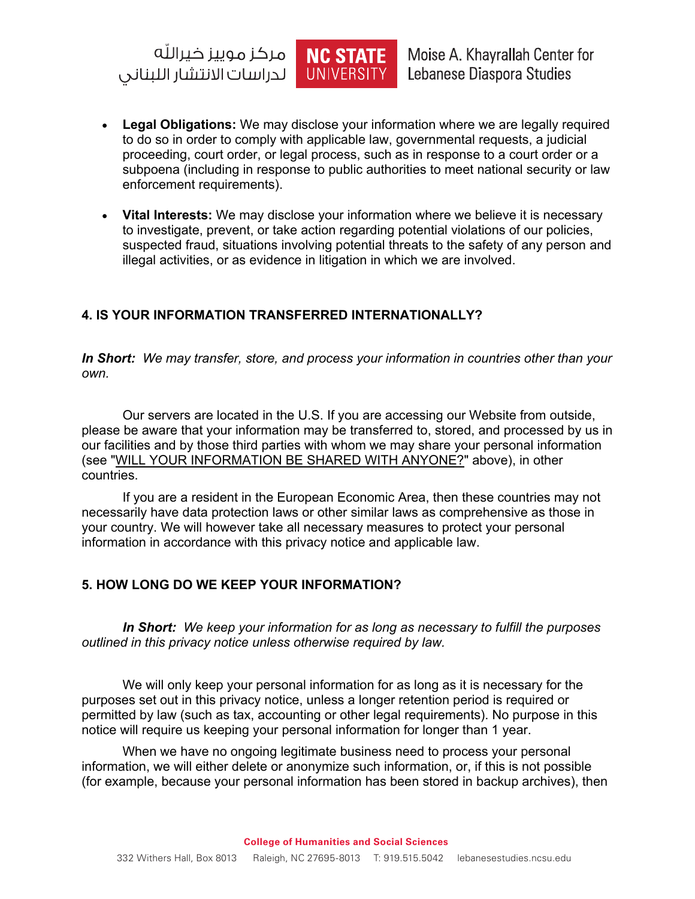مركز موييز ذيرالله NC STATE لدراسات الانتشار اللبناني

Moise A. Khayrallah Center for Lebanese Diaspora Studies

• **Legal Obligations:** We may disclose your information where we are legally required to do so in order to comply with applicable law, governmental requests, a judicial proceeding, court order, or legal process, such as in response to a court order or a subpoena (including in response to public authorities to meet national security or law enforcement requirements).

**UNIVERSITY** 

• **Vital Interests:** We may disclose your information where we believe it is necessary to investigate, prevent, or take action regarding potential violations of our policies, suspected fraud, situations involving potential threats to the safety of any person and illegal activities, or as evidence in litigation in which we are involved.

## **4. IS YOUR INFORMATION TRANSFERRED INTERNATIONALLY?**

*In Short: We may transfer, store, and process your information in countries other than your own.*

Our servers are located in the U.S. If you are accessing our Website from outside, please be aware that your information may be transferred to, stored, and processed by us in our facilities and by those third parties with whom we may share your personal information (see "WILL YOUR INFORMATION BE SHARED WITH ANYONE?" above), in other countries.

If you are a resident in the European Economic Area, then these countries may not necessarily have data protection laws or other similar laws as comprehensive as those in your country. We will however take all necessary measures to protect your personal information in accordance with this privacy notice and applicable law.

## **5. HOW LONG DO WE KEEP YOUR INFORMATION?**

*In Short: We keep your information for as long as necessary to fulfill the purposes outlined in this privacy notice unless otherwise required by law.*

We will only keep your personal information for as long as it is necessary for the purposes set out in this privacy notice, unless a longer retention period is required or permitted by law (such as tax, accounting or other legal requirements). No purpose in this notice will require us keeping your personal information for longer than 1 year.

When we have no ongoing legitimate business need to process your personal information, we will either delete or anonymize such information, or, if this is not possible (for example, because your personal information has been stored in backup archives), then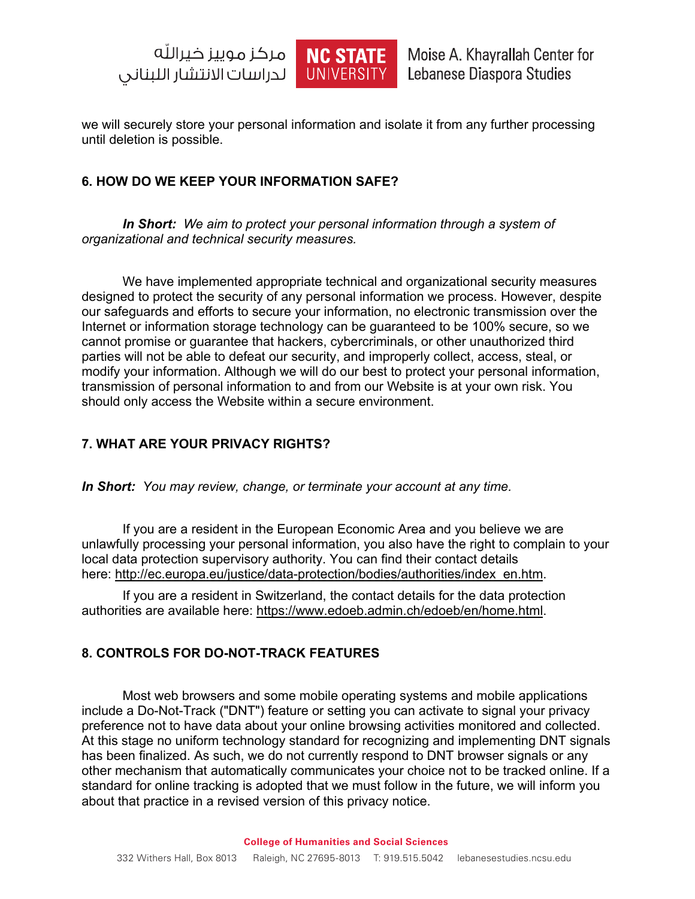



we will securely store your personal information and isolate it from any further processing until deletion is possible.

## **6. HOW DO WE KEEP YOUR INFORMATION SAFE?**

*In Short: We aim to protect your personal information through a system of organizational and technical security measures.*

We have implemented appropriate technical and organizational security measures designed to protect the security of any personal information we process. However, despite our safeguards and efforts to secure your information, no electronic transmission over the Internet or information storage technology can be guaranteed to be 100% secure, so we cannot promise or guarantee that hackers, cybercriminals, or other unauthorized third parties will not be able to defeat our security, and improperly collect, access, steal, or modify your information. Although we will do our best to protect your personal information, transmission of personal information to and from our Website is at your own risk. You should only access the Website within a secure environment.

## **7. WHAT ARE YOUR PRIVACY RIGHTS?**

*In Short: You may review, change, or terminate your account at any time.*

If you are a resident in the European Economic Area and you believe we are unlawfully processing your personal information, you also have the right to complain to your local data protection supervisory authority. You can find their contact details here: http://ec.europa.eu/justice/data-protection/bodies/authorities/index\_en.htm.

If you are a resident in Switzerland, the contact details for the data protection authorities are available here: https://www.edoeb.admin.ch/edoeb/en/home.html.

## **8. CONTROLS FOR DO-NOT-TRACK FEATURES**

Most web browsers and some mobile operating systems and mobile applications include a Do-Not-Track ("DNT") feature or setting you can activate to signal your privacy preference not to have data about your online browsing activities monitored and collected. At this stage no uniform technology standard for recognizing and implementing DNT signals has been finalized. As such, we do not currently respond to DNT browser signals or any other mechanism that automatically communicates your choice not to be tracked online. If a standard for online tracking is adopted that we must follow in the future, we will inform you about that practice in a revised version of this privacy notice.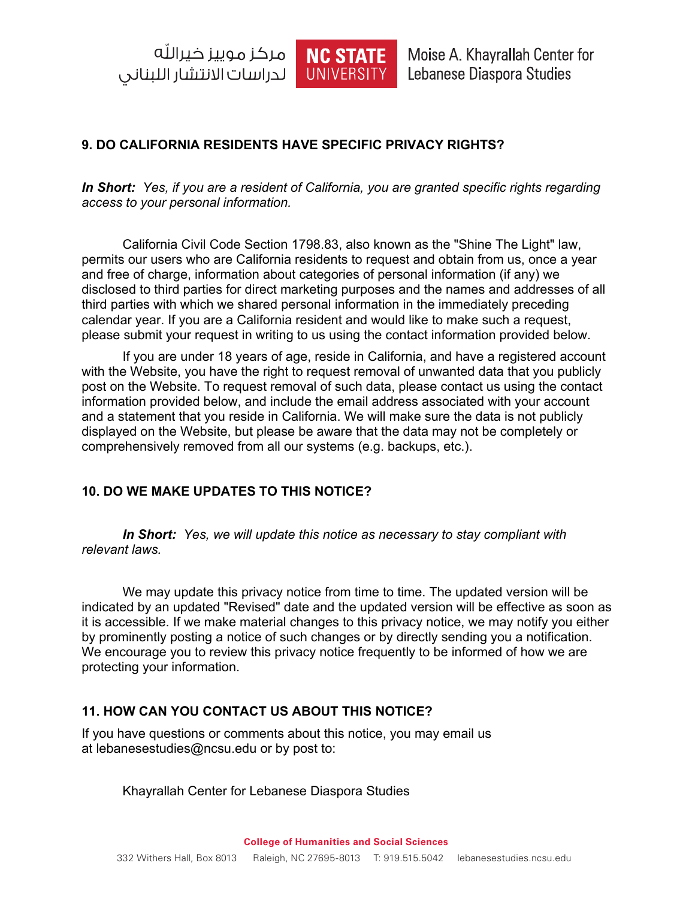NC STATE لدراسات الانتشار اللبناني |



Moise A. Khayrallah Center for Lebanese Diaspora Studies

## **9. DO CALIFORNIA RESIDENTS HAVE SPECIFIC PRIVACY RIGHTS?**

*In Short: Yes, if you are a resident of California, you are granted specific rights regarding access to your personal information.*

California Civil Code Section 1798.83, also known as the "Shine The Light" law, permits our users who are California residents to request and obtain from us, once a year and free of charge, information about categories of personal information (if any) we disclosed to third parties for direct marketing purposes and the names and addresses of all third parties with which we shared personal information in the immediately preceding calendar year. If you are a California resident and would like to make such a request, please submit your request in writing to us using the contact information provided below.

If you are under 18 years of age, reside in California, and have a registered account with the Website, you have the right to request removal of unwanted data that you publicly post on the Website. To request removal of such data, please contact us using the contact information provided below, and include the email address associated with your account and a statement that you reside in California. We will make sure the data is not publicly displayed on the Website, but please be aware that the data may not be completely or comprehensively removed from all our systems (e.g. backups, etc.).

## **10. DO WE MAKE UPDATES TO THIS NOTICE?**

*In Short: Yes, we will update this notice as necessary to stay compliant with relevant laws.*

We may update this privacy notice from time to time. The updated version will be indicated by an updated "Revised" date and the updated version will be effective as soon as it is accessible. If we make material changes to this privacy notice, we may notify you either by prominently posting a notice of such changes or by directly sending you a notification. We encourage you to review this privacy notice frequently to be informed of how we are protecting your information.

## **11. HOW CAN YOU CONTACT US ABOUT THIS NOTICE?**

If you have questions or comments about this notice, you may email us at lebanesestudies@ncsu.edu or by post to:

Khayrallah Center for Lebanese Diaspora Studies